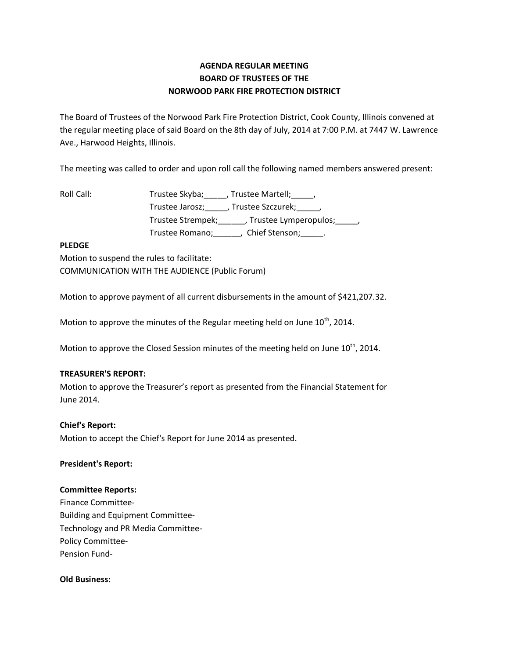# **AGENDA REGULAR MEETING BOARD OF TRUSTEES OF THE NORWOOD PARK FIRE PROTECTION DISTRICT**

The Board of Trustees of the Norwood Park Fire Protection District, Cook County, Illinois convened at the regular meeting place of said Board on the 8th day of July, 2014 at 7:00 P.M. at 7447 W. Lawrence Ave., Harwood Heights, Illinois.

The meeting was called to order and upon roll call the following named members answered present:

Roll Call: Trustee Skyba; \_\_\_\_, Trustee Martell; \_\_\_\_, Trustee Jarosz; J. Trustee Szczurek; J. Trustee Strempek;\_\_\_\_\_\_, Trustee Lymperopulos;\_\_\_\_\_, Trustee Romano; Chief Stenson; \_\_\_\_\_.

### **PLEDGE**

Motion to suspend the rules to facilitate: COMMUNICATION WITH THE AUDIENCE (Public Forum)

Motion to approve payment of all current disbursements in the amount of \$421,207.32.

Motion to approve the minutes of the Regular meeting held on June  $10^{th}$ , 2014.

Motion to approve the Closed Session minutes of the meeting held on June  $10^{th}$ , 2014.

#### **TREASURER'S REPORT:**

Motion to approve the Treasurer's report as presented from the Financial Statement for June 2014.

## **Chief's Report:**

Motion to accept the Chief's Report for June 2014 as presented.

#### **President's Report:**

#### **Committee Reports:**

Finance Committee-Building and Equipment Committee-Technology and PR Media Committee-Policy Committee-Pension Fund-

#### **Old Business:**